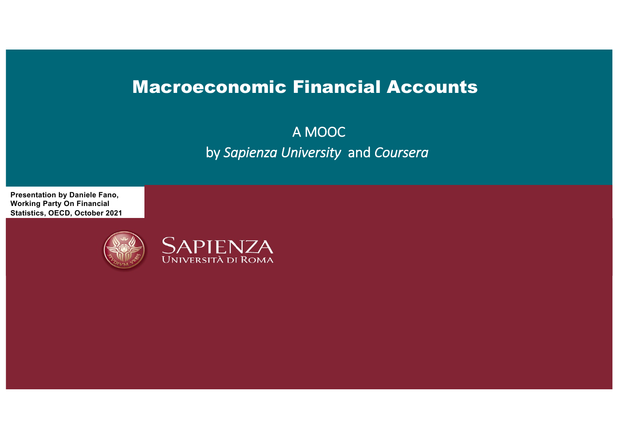# Macroeconomic Financial Accounts

A MOOC by *Sapienza University* and *Coursera*

**Presentation by Daniele Fano, Working Party On Financial Statistics, OECD, October 2021**



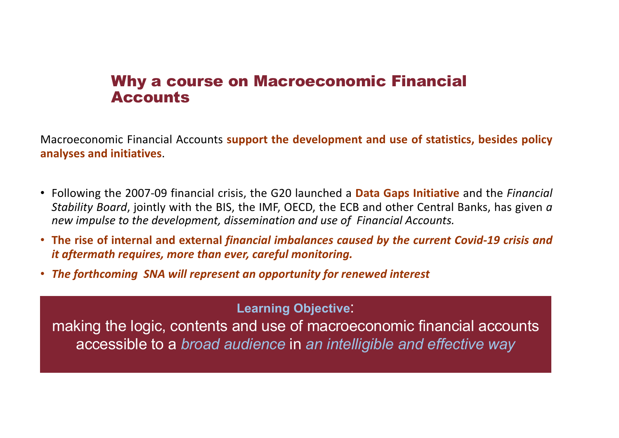### Why a course on Macroeconomic Financial Accounts

Macroeconomic Financial Accounts **support the development and use of statistics, besides policy analyses and initiatives**.

- Following the 2007-09 financial crisis, the G20 launched a **Data Gaps Initiative** and the *Financial Stability Board*, jointly with the BIS, the IMF, OECD, the ECB and other Central Banks, has given *a new impulse to the development, dissemination and use of Financial Accounts.*
- **The rise of internal and external** *financial imbalances caused by the current Covid-19 crisis and it aftermath requires, more than ever, careful monitoring.*
- *The forthcoming SNA will represent an opportunity for renewed interest*

**Learning Objective**:

making the logic, contents and use of macroeconomic financial accounts accessible to a *broad audience* in *an intelligible and effective way*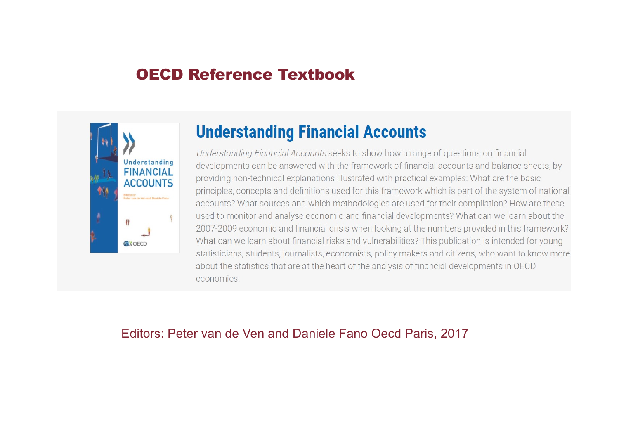## OECD Reference Textbook



# **Understanding Financial Accounts**

Understanding Financial Accounts seeks to show how a range of questions on financial developments can be answered with the framework of financial accounts and balance sheets, by providing non-technical explanations illustrated with practical examples: What are the basic principles, concepts and definitions used for this framework which is part of the system of national accounts? What sources and which methodologies are used for their compilation? How are these used to monitor and analyse economic and financial developments? What can we learn about the 2007-2009 economic and financial crisis when looking at the numbers provided in this framework? What can we learn about financial risks and vulnerabilities? This publication is intended for young statisticians, students, journalists, economists, policy makers and citizens, who want to know more about the statistics that are at the heart of the analysis of financial developments in OECD economies.

### Editors: Peter van de Ven and Daniele Fano Oecd Paris, 2017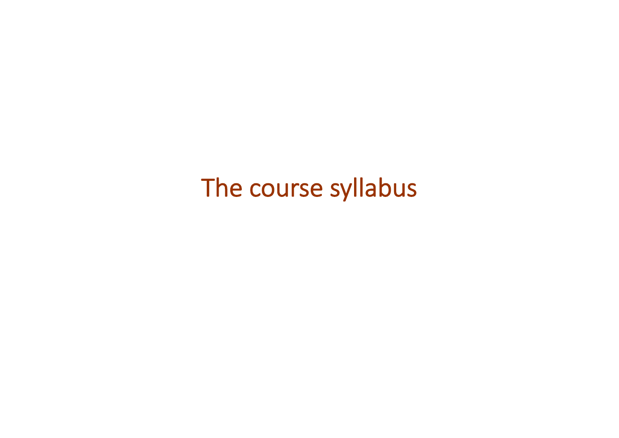# The course syllabus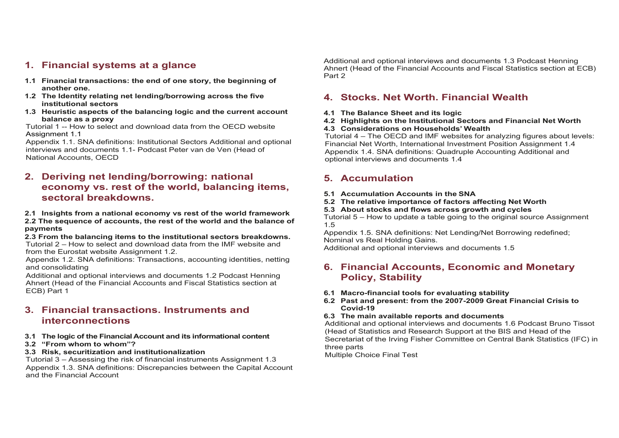### **1. Financial systems at a glance**

- **1.1 Financial transactions: the end of one story, the beginning of another one.**
- **1.2 The Identity relating net lending/borrowing across the five institutional sectors**
- **1.3 Heuristic aspects of the balancing logic and the current account balance as a proxy**

Tutorial 1 -- How to select and download data from the OECD website Assignment 1.1

Appendix 1.1. SNA definitions: Institutional Sectors Additional and optional interviews and documents 1.1- Podcast Peter van de Ven (Head of National Accounts, OECD

### **2. Deriving net lending/borrowing: national economy vs. rest of the world, balancing items, sectoral breakdowns.**

#### **2.1 Insights from a national economy vs rest of the world framework**

**2.2 The sequence of accounts, the rest of the world and the balance of payments**

**2.3 From the balancing items to the institutional sectors breakdowns.**  Tutorial 2 – How to select and download data from the IMF website and from the Eurostat website Assignment 1.2.

Appendix 1.2. SNA definitions: Transactions, accounting identities, netting and consolidating

Additional and optional interviews and documents 1.2 Podcast Henning Ahnert (Head of the Financial Accounts and Fiscal Statistics section at ECB) Part 1

### **3. Financial transactions. Instruments and interconnections**

#### **3.1 The logic of the Financial Account and its informational content**

**3.2 "From whom to whom"?**

#### **3.3 Risk, securitization and institutionalization**

Tutorial 3 – Assessing the risk of financial instruments Assignment 1.3 Appendix 1.3. SNA definitions: Discrepancies between the Capital Account and the Financial Account

Additional and optional interviews and documents 1.3 Podcast Henning Ahnert (Head of the Financial Accounts and Fiscal Statistics section at ECB) Part 2

### **4. Stocks. Net Worth. Financial Wealth**

**4.1 The Balance Sheet and its logic**

#### **4.2 Highlights on the Institutional Sectors and Financial Net Worth 4.3 Considerations on Households' Wealth**

Tutorial 4 – The OECD and IMF websites for analyzing figures about levels: Financial Net Worth, International Investment Position Assignment 1.4 Appendix 1.4. SNA definitions: Quadruple Accounting Additional and optional interviews and documents 1.4

### **5. Accumulation**

- **5.1 Accumulation Accounts in the SNA**
- **5.2 The relative importance of factors affecting Net Worth**
- **5.3 About stocks and flows across growth and cycles**

Tutorial 5 – How to update a table going to the original source Assignment 1.5

Appendix 1.5. SNA definitions: Net Lending/Net Borrowing redefined; Nominal vs Real Holding Gains.

Additional and optional interviews and documents 1.5

### **6. Financial Accounts, Economic and Monetary Policy, Stability**

- **6.1 Macro-financial tools for evaluating stability**
- **6.2 Past and present: from the 2007-2009 Great Financial Crisis to Covid-19**

#### **6.3 The main available reports and documents**

Additional and optional interviews and documents 1.6 Podcast Bruno Tissot (Head of Statistics and Research Support at the BIS and Head of the Secretariat of the Irving Fisher Committee on Central Bank Statistics (IFC) in three parts

Multiple Choice Final Test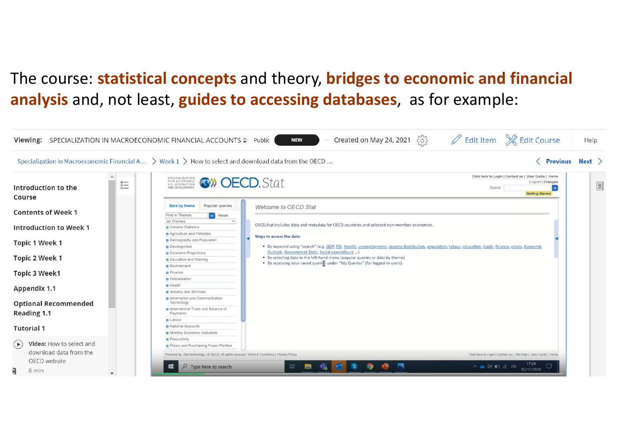# The course: **statistical concepts** and theory, **bridges to economic and financial analysis** and, not least, **guides to accessing databases**, as for example:

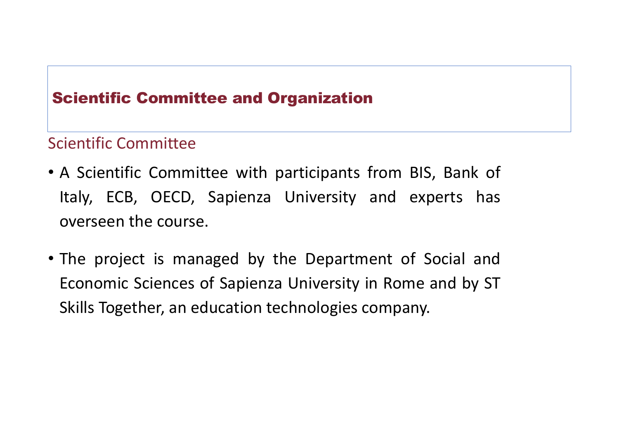# Scientific Committee and Organization

# Scientific Committee

- A Scientific Committee with participants from BIS, Bank of Italy, ECB, OECD, Sapienza University and experts has overseen the course.
- The project is managed by the Department of Social and Economic Sciences of Sapienza University in Rome and by ST Skills Together, an education technologies company.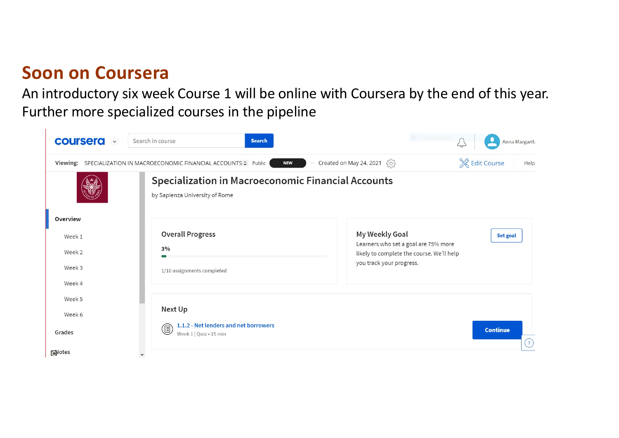# **Soon on Coursera**

An introductory six week Course 1 will be online with Coursera by the end of this year. Further more specialized courses in the pipeline